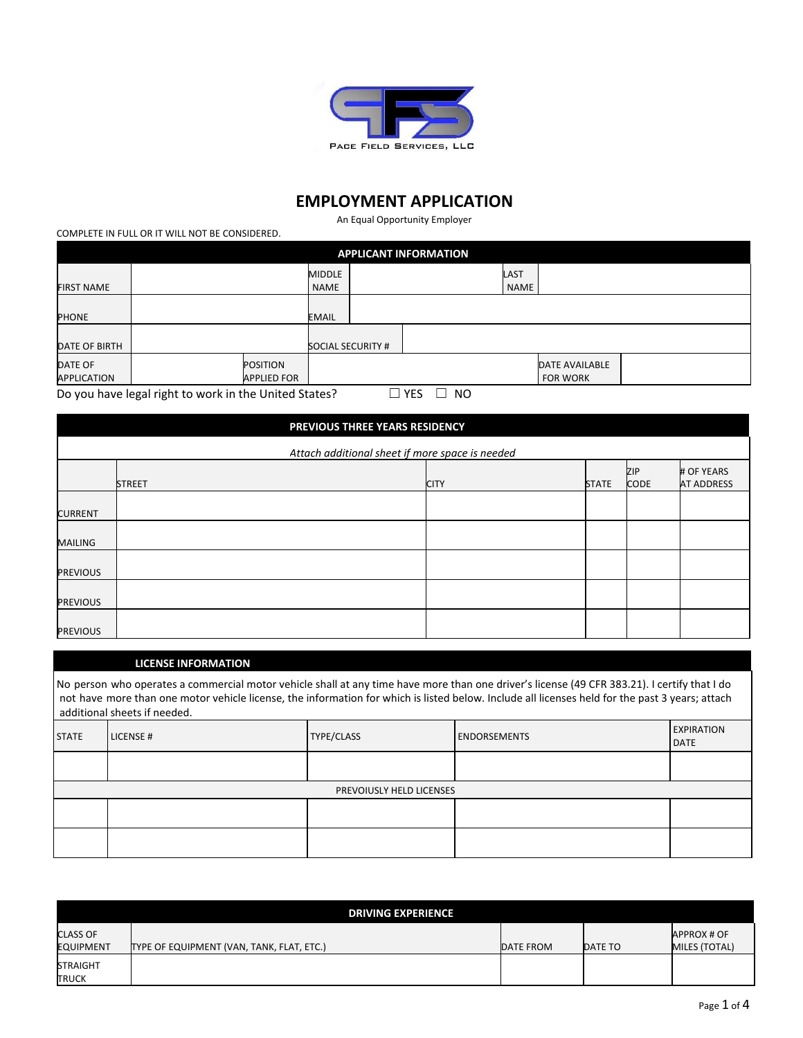

# **EMPLOYMENT APPLICATION**

An Equal Opportunity Employer

COMPLETE IN FULL OR IT WILL NOT BE CONSIDERED.

| <b>APPLICANT INFORMATION</b>         |                                                                                                  |                                       |                              |  |  |              |                                   |  |  |  |  |
|--------------------------------------|--------------------------------------------------------------------------------------------------|---------------------------------------|------------------------------|--|--|--------------|-----------------------------------|--|--|--|--|
| <b>FIRST NAME</b>                    |                                                                                                  |                                       | <b>MIDDLE</b><br><b>NAME</b> |  |  | LAST<br>NAME |                                   |  |  |  |  |
| <b>PHONE</b>                         |                                                                                                  |                                       | <b>EMAIL</b>                 |  |  |              |                                   |  |  |  |  |
| DATE OF BIRTH                        |                                                                                                  |                                       | <b>SOCIAL SECURITY #</b>     |  |  |              |                                   |  |  |  |  |
| <b>DATE OF</b><br><b>APPLICATION</b> |                                                                                                  | <b>POSITION</b><br><b>APPLIED FOR</b> |                              |  |  |              | DATE AVAILABLE<br><b>FOR WORK</b> |  |  |  |  |
|                                      | Do you have legal right to work in the United States?<br><b>NO</b><br><b>YES</b><br>$\mathsf{L}$ |                                       |                              |  |  |              |                                   |  |  |  |  |

|                                                 | PREVIOUS THREE YEARS RESIDENCY |  |             |              |                    |                                 |  |  |  |  |  |  |
|-------------------------------------------------|--------------------------------|--|-------------|--------------|--------------------|---------------------------------|--|--|--|--|--|--|
| Attach additional sheet if more space is needed |                                |  |             |              |                    |                                 |  |  |  |  |  |  |
|                                                 | <b>STREET</b>                  |  | <b>CITY</b> | <b>STATE</b> | ZIP<br><b>CODE</b> | # OF YEARS<br><b>AT ADDRESS</b> |  |  |  |  |  |  |
| <b>CURRENT</b>                                  |                                |  |             |              |                    |                                 |  |  |  |  |  |  |
| <b>MAILING</b>                                  |                                |  |             |              |                    |                                 |  |  |  |  |  |  |
| <b>PREVIOUS</b>                                 |                                |  |             |              |                    |                                 |  |  |  |  |  |  |
| <b>PREVIOUS</b>                                 |                                |  |             |              |                    |                                 |  |  |  |  |  |  |
| <b>PREVIOUS</b>                                 |                                |  |             |              |                    |                                 |  |  |  |  |  |  |

### **LICENSE INFORMATION**

|              | No person who operates a commercial motor vehicle shall at any time have more than one driver's license (49 CFR 383.21). I certify that I do<br>not have more than one motor vehicle license, the information for which is listed below. Include all licenses held for the past 3 years; attach<br>additional sheets if needed. |                                 |                     |                                  |  |  |  |  |  |  |  |
|--------------|---------------------------------------------------------------------------------------------------------------------------------------------------------------------------------------------------------------------------------------------------------------------------------------------------------------------------------|---------------------------------|---------------------|----------------------------------|--|--|--|--|--|--|--|
| <b>STATE</b> | LICENSE#                                                                                                                                                                                                                                                                                                                        | <b>TYPE/CLASS</b>               | <b>ENDORSEMENTS</b> | <b>EXPIRATION</b><br><b>DATE</b> |  |  |  |  |  |  |  |
|              |                                                                                                                                                                                                                                                                                                                                 |                                 |                     |                                  |  |  |  |  |  |  |  |
|              |                                                                                                                                                                                                                                                                                                                                 | <b>PREVOIUSLY HELD LICENSES</b> |                     |                                  |  |  |  |  |  |  |  |
|              |                                                                                                                                                                                                                                                                                                                                 |                                 |                     |                                  |  |  |  |  |  |  |  |
|              |                                                                                                                                                                                                                                                                                                                                 |                                 |                     |                                  |  |  |  |  |  |  |  |

|                                     | <b>DRIVING EXPERIENCE</b>                 |           |         |                                     |
|-------------------------------------|-------------------------------------------|-----------|---------|-------------------------------------|
| <b>CLASS OF</b><br><b>EQUIPMENT</b> | TYPE OF EQUIPMENT (VAN, TANK, FLAT, ETC.) | DATE FROM | DATE TO | APPROX # OF<br><b>MILES (TOTAL)</b> |
| <b>STRAIGHT</b><br><b>TRUCK</b>     |                                           |           |         |                                     |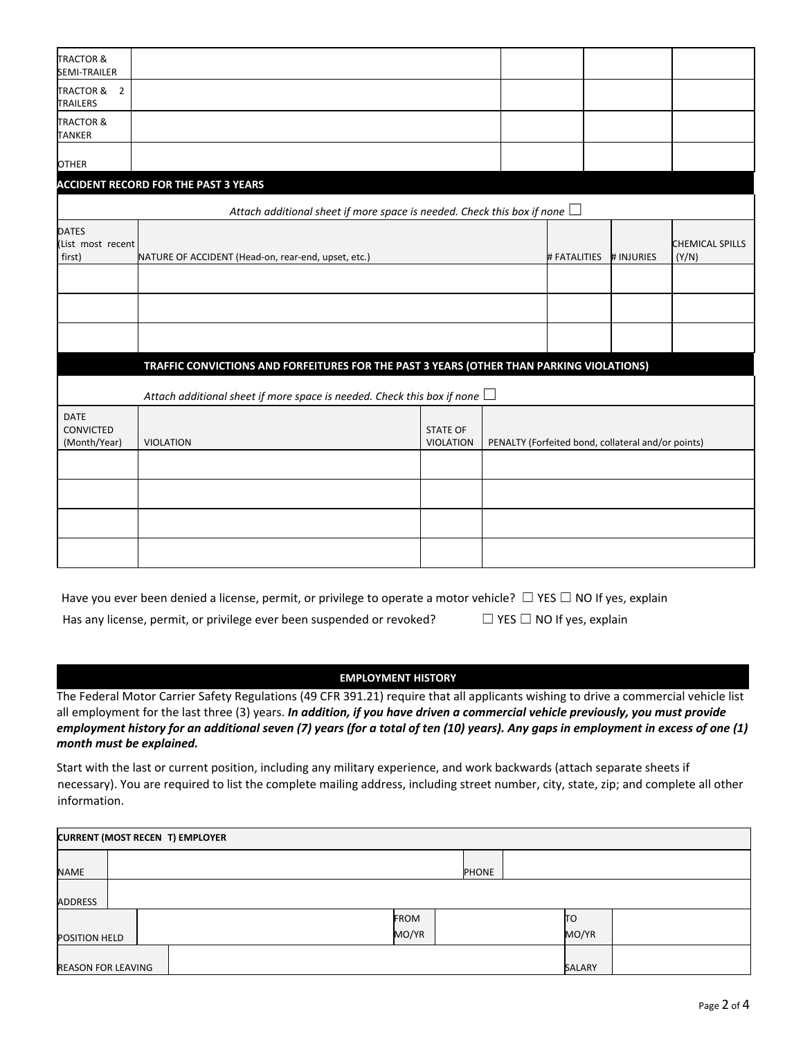| <b>TRACTOR &amp;</b><br>SEMI-TRAILER        |                                                                                          |                                     |                                                    |              |            |                                 |
|---------------------------------------------|------------------------------------------------------------------------------------------|-------------------------------------|----------------------------------------------------|--------------|------------|---------------------------------|
| TRACTOR & 2<br><b>TRAILERS</b>              |                                                                                          |                                     |                                                    |              |            |                                 |
| <b>TRACTOR &amp;</b><br><b>TANKER</b>       |                                                                                          |                                     |                                                    |              |            |                                 |
| <b>OTHER</b>                                |                                                                                          |                                     |                                                    |              |            |                                 |
|                                             | <b>ACCIDENT RECORD FOR THE PAST 3 YEARS</b>                                              |                                     |                                                    |              |            |                                 |
|                                             | Attach additional sheet if more space is needed. Check this box if none $\Box$           |                                     |                                                    |              |            |                                 |
| <b>DATES</b><br>(List most recent<br>first) | NATURE OF ACCIDENT (Head-on, rear-end, upset, etc.)                                      |                                     |                                                    | # FATALITIES | # INJURIES | <b>CHEMICAL SPILLS</b><br>(Y/N) |
|                                             |                                                                                          |                                     |                                                    |              |            |                                 |
|                                             |                                                                                          |                                     |                                                    |              |            |                                 |
|                                             |                                                                                          |                                     |                                                    |              |            |                                 |
|                                             | TRAFFIC CONVICTIONS AND FORFEITURES FOR THE PAST 3 YEARS (OTHER THAN PARKING VIOLATIONS) |                                     |                                                    |              |            |                                 |
|                                             | Attach additional sheet if more space is needed. Check this box if none $\Box$           |                                     |                                                    |              |            |                                 |
| <b>DATE</b><br>CONVICTED<br>(Month/Year)    | <b>VIOLATION</b>                                                                         | <b>STATE OF</b><br><b>VIOLATION</b> | PENALTY (Forfeited bond, collateral and/or points) |              |            |                                 |
|                                             |                                                                                          |                                     |                                                    |              |            |                                 |
|                                             |                                                                                          |                                     |                                                    |              |            |                                 |
|                                             |                                                                                          |                                     |                                                    |              |            |                                 |
|                                             |                                                                                          |                                     |                                                    |              |            |                                 |

| Have you ever been denied a license, permit, or privilege to operate a motor vehicle? $\Box$ YES $\Box$ NO If yes, explain |                                      |
|----------------------------------------------------------------------------------------------------------------------------|--------------------------------------|
| Has any license, permit, or privilege ever been suspended or revoked?                                                      | $\Box$ YES $\Box$ NO If yes, explain |

| Has any license, permit, or privilege ever been suspended or revoked? |  |
|-----------------------------------------------------------------------|--|
|-----------------------------------------------------------------------|--|

### **EMPLOYMENT HISTORY**

The Federal Motor Carrier Safety Regulations (49 CFR 391.21) require that all applicants wishing to drive a commercial vehicle list all employment for the last three (3) years. *In addition, if you have driven a commercial vehicle previously, you must provide* employment history for an additional seven (7) years (for a total of ten (10) years). Any gaps in employment in excess of one (1) *month must be explained.*

Start with the last or current position, including any military experience, and work backwards (attach separate sheets if necessary). You are required to list the complete mailing address, including street number, city, state, zip; and complete all other information.

| <b>CURRENT (MOST RECEN T) EMPLOYER</b> |  |  |  |  |             |              |  |        |  |  |
|----------------------------------------|--|--|--|--|-------------|--------------|--|--------|--|--|
| NAME                                   |  |  |  |  |             | <b>PHONE</b> |  |        |  |  |
| <b>ADDRESS</b>                         |  |  |  |  |             |              |  |        |  |  |
|                                        |  |  |  |  | <b>FROM</b> |              |  | ΠO     |  |  |
| POSITION HELD                          |  |  |  |  | MO/YR       |              |  | MO/YR  |  |  |
| REASON FOR LEAVING                     |  |  |  |  |             |              |  | SALARY |  |  |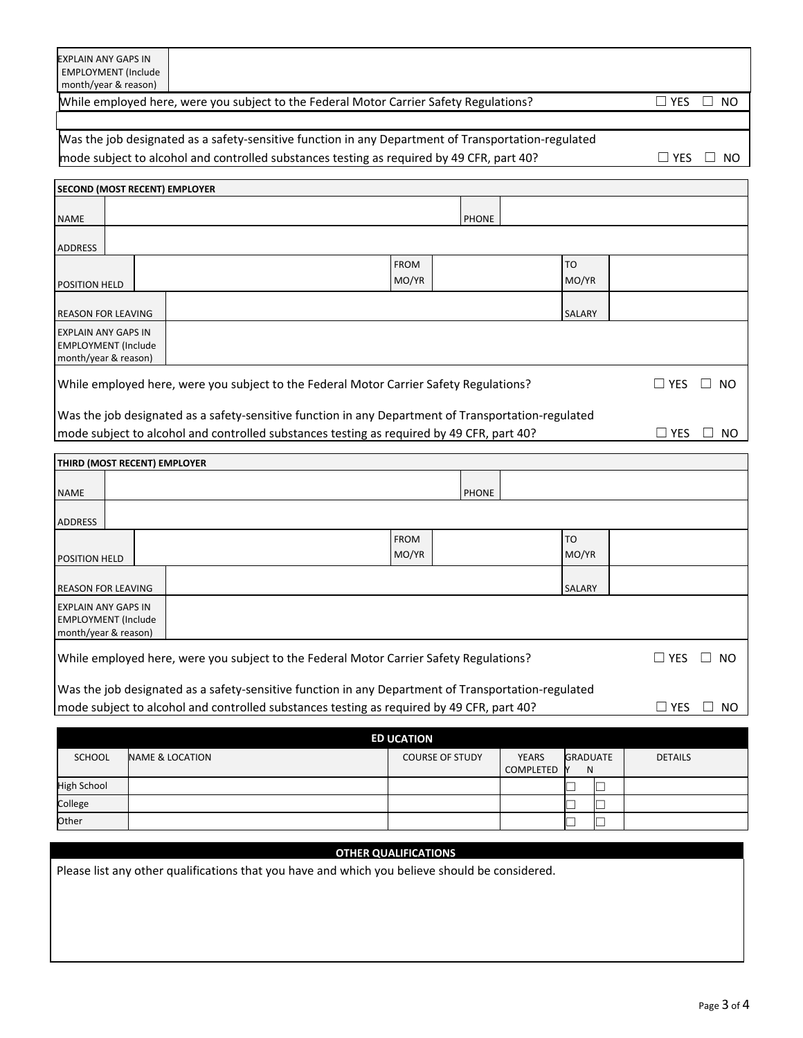### While employed here, were you subject to the Federal Motor Carrier Safety Regulations? □ □ YES □ NO

## Was the job designated as a safety-sensitive function in any Department of Transportation-regulated mode subject to alcohol and controlled substances testing as required by 49 CFR, part 40?  $□$  YES  $□$  NO

|                            | <b>SECOND (MOST RECENT) EMPLOYER</b>                                                                                      |  |                                                                                                     |             |              |  |           |  |  |  |
|----------------------------|---------------------------------------------------------------------------------------------------------------------------|--|-----------------------------------------------------------------------------------------------------|-------------|--------------|--|-----------|--|--|--|
| <b>NAME</b>                |                                                                                                                           |  |                                                                                                     |             | <b>PHONE</b> |  |           |  |  |  |
| <b>ADDRESS</b>             |                                                                                                                           |  |                                                                                                     |             |              |  |           |  |  |  |
|                            |                                                                                                                           |  |                                                                                                     | <b>FROM</b> |              |  | <b>TO</b> |  |  |  |
| <b>POSITION HELD</b>       |                                                                                                                           |  |                                                                                                     | MO/YR       |              |  | MO/YR     |  |  |  |
|                            |                                                                                                                           |  |                                                                                                     |             |              |  |           |  |  |  |
| <b>REASON FOR LEAVING</b>  |                                                                                                                           |  |                                                                                                     |             |              |  | SALARY    |  |  |  |
| <b>EXPLAIN ANY GAPS IN</b> |                                                                                                                           |  |                                                                                                     |             |              |  |           |  |  |  |
| <b>EMPLOYMENT</b> (Include |                                                                                                                           |  |                                                                                                     |             |              |  |           |  |  |  |
| month/year & reason)       |                                                                                                                           |  |                                                                                                     |             |              |  |           |  |  |  |
|                            | While employed here, were you subject to the Federal Motor Carrier Safety Regulations?<br>$\Box$ YES<br>NO.<br>-rill-     |  |                                                                                                     |             |              |  |           |  |  |  |
|                            |                                                                                                                           |  | Was the job designated as a safety-sensitive function in any Department of Transportation-regulated |             |              |  |           |  |  |  |
|                            | mode subject to alcohol and controlled substances testing as required by 49 CFR, part 40?<br>NO.<br>YES.<br>$\mathcal{L}$ |  |                                                                                                     |             |              |  |           |  |  |  |

| THIRD (MOST RECENT) EMPLOYER                                                     |                                                                                        |             |              |               |                   |
|----------------------------------------------------------------------------------|----------------------------------------------------------------------------------------|-------------|--------------|---------------|-------------------|
| <b>NAME</b>                                                                      |                                                                                        |             | <b>PHONE</b> |               |                   |
| <b>ADDRESS</b>                                                                   |                                                                                        |             |              |               |                   |
|                                                                                  |                                                                                        | <b>FROM</b> |              | <b>TO</b>     |                   |
| <b>POSITION HELD</b>                                                             |                                                                                        | MO/YR       |              | MO/YR         |                   |
| <b>REASON FOR LEAVING</b>                                                        |                                                                                        |             |              | <b>SALARY</b> |                   |
| <b>EXPLAIN ANY GAPS IN</b><br><b>EMPLOYMENT</b> (Include<br>month/year & reason) |                                                                                        |             |              |               |                   |
|                                                                                  | While employed here, were you subject to the Federal Motor Carrier Safety Regulations? |             |              |               | $\Box$ YES<br>NO. |

| Was the job designated as a safety-sensitive function in any Department of Transportation-regulated |  |
|-----------------------------------------------------------------------------------------------------|--|
| mode subject to alcohol and controlled substances testing as required by 49 CFR, part 40?           |  |

|                    |                            | <b>ED UCATION</b>      |                           |                      |                |
|--------------------|----------------------------|------------------------|---------------------------|----------------------|----------------|
| <b>SCHOOL</b>      | <b>NAME &amp; LOCATION</b> | <b>COURSE OF STUDY</b> | <b>YEARS</b><br>COMPLETED | <b>GRADUATE</b><br>N | <b>DETAILS</b> |
| <b>High School</b> |                            |                        |                           |                      |                |
| College            |                            |                        |                           |                      |                |
| Other              |                            |                        |                           |                      |                |

#### **OTHER QUALIFICATIONS**

Please list any other qualifications that you have and which you believe should be considered.

 $□$  YES  $□$  NO